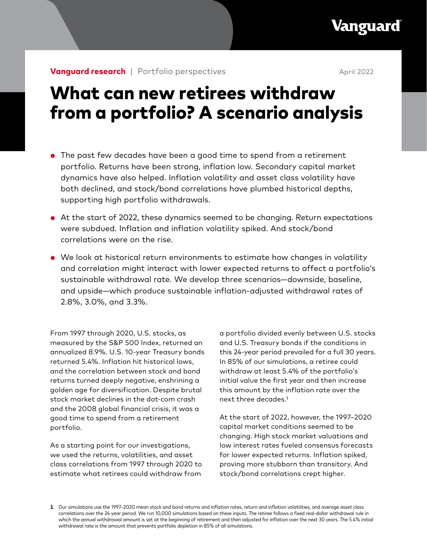# What can new retirees withdraw from a portfolio? A scenario analysis

- The past few decades have been a good time to spend from a retirement portfolio. Returns have been strong, inflation low. Secondary capital market dynamics have also helped. Inflation volatility and asset class volatility have both declined, and stock/bond correlations have plumbed historical depths, supporting high portfolio withdrawals.
- At the start of 2022, these dynamics seemed to be changing. Return expectations were subdued. Inflation and inflation volatility spiked. And stock/bond correlations were on the rise.
- We look at historical return environments to estimate how changes in volatility and correlation might interact with lower expected returns to affect a portfolio's sustainable withdrawal rate. We develop three scenarios—downside, baseline, and upside—which produce sustainable inflation-adjusted withdrawal rates of 2.8%, 3.0%, and 3.3%.

From 1997 through 2020, U.S. stocks, as measured by the S&P 500 Index, returned an annualized 8.9%. U.S. 10-year Treasury bonds returned 5.4%. Inflation hit historical lows, and the correlation between stock and bond returns turned deeply negative, enshrining a golden age for diversification. Despite brutal stock market declines in the dot-com crash and the 2008 global financial crisis, it was a good time to spend from a retirement portfolio.

As a starting point for our investigations, we used the returns, volatilities, and asset class correlations from 1997 through 2020 to estimate what retirees could withdraw from a portfolio divided evenly between U.S. stocks and U.S. Treasury bonds if the conditions in this 24-year period prevailed for a full 30 years. In 85% of our simulations, a retiree could withdraw at least 5.4% of the portfolio's initial value the first year and then increase this amount by the inflation rate over the next three decades.1

At the start of 2022, however, the 1997–2020 capital market conditions seemed to be changing. High stock market valuations and low interest rates fueled consensus forecasts for lower expected returns. Inflation spiked, proving more stubborn than transitory. And stock/bond correlations crept higher.

**<sup>1</sup>** Our simulations use the 1997–2020 mean stock and bond returns and inflation rates, return and inflation volatilities, and average asset class correlations over the 24-year period. We run 10,000 simulations based on these inputs. The retiree follows a fixed real-dollar withdrawal rule in which the annual withdrawal amount is set at the beginning of retirement and then adjusted for inflation over the next 30 years. The 5.4% initial withdrawal rate is the amount that prevents portfolio depletion in 85% of all simulations.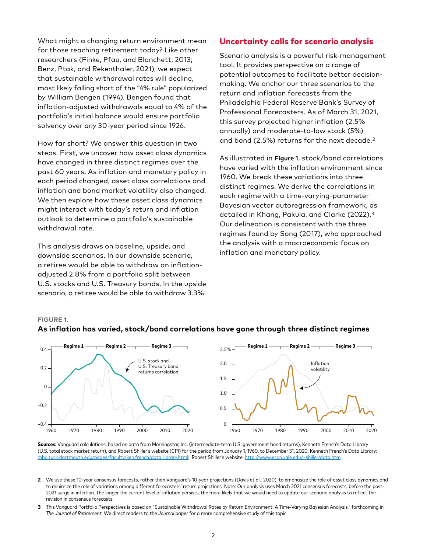What might a changing return environment mean for those reaching retirement today? Like other researchers (Finke, Pfau, and Blanchett, 2013; Benz, Ptak, and Rekenthaler, 2021), we expect that sustainable withdrawal rates will decline, most likely falling short of the "4% rule" popularized by William Bengen (1994). Bengen found that inflation-adjusted withdrawals equal to 4% of the portfolio's initial balance would ensure portfolio solvency over *any* 30-year period since 1926.

How far short? We answer this question in two steps. First, we uncover how asset class dynamics have changed in three distinct regimes over the past 60 years. As inflation and monetary policy in each period changed, asset class correlations and inflation and bond market volatility also changed. We then explore how these asset class dynamics might interact with today's return and inflation outlook to determine a portfolio's sustainable withdrawal rate.

This analysis draws on baseline, upside, and downside scenarios. In our downside scenario, a retiree would be able to withdraw an inflationadjusted 2.8% from a portfolio split between U.S. stocks and U.S. Treasury bonds. In the upside scenario, a retiree would be able to withdraw 3.3%.

## Uncertainty calls for scenario analysis

Scenario analysis is a powerful risk-management tool. It provides perspective on a range of potential outcomes to facilitate better decisionmaking. We anchor our three scenarios to the return and inflation forecasts from the Philadelphia Federal Reserve Bank's Survey of Professional Forecasters. As of March 31, 2021, this survey projected higher inflation (2.5% annually) and moderate-to-low stock (5%) and bond (2.5%) returns for the next decade.2

As illustrated in **Figure 1**, stock/bond correlations have varied with the inflation environment since 1960. We break these variations into three distinct regimes. We derive the correlations in each regime with a time-varying-parameter Bayesian vector autoregression framework, as detailed in Khang, Pakula, and Clarke (2022).3 Our delineation is consistent with the three regimes found by Song (2017), who approached the analysis with a macroeconomic focus on inflation and monetary policy.

#### **FIGURE 1.**



## **As inflation has varied, stock/bond correlations have gone through three distinct regimes**

**Sources:** Vanguard calculations, based on data from Morningstar, Inc. (intermediate-term U.S. government bond returns), Kenneth French's Data Library (U.S. total stock market return), and Robert Shiller's website (CPI) for the period from January 1, 1960, to December 31, 2020. Kenneth French's Data Library: [mba.tuck.dartmouth.edu/pages/faculty/ken.french/data\\_library.html](http://mba.tuck.dartmouth.edu/pages/faculty/ken.french/data_library.html); Robert Shiller's website: [http://www.econ.yale.edu/~shiller/data.htm.](http://www.econ.yale.edu/~shiller/data.htm)

- **2** We use these 10-year consensus forecasts, rather than Vanguard's 10-year projections (Davis et al., 2020), to emphasize the role of asset class dynamics and to minimize the role of variations among different forecasters' return projections. Note: Our analysis uses March 2021 consensus forecasts, before the post-2021 surge in inflation. The longer the current level of inflation persists, the more likely that we would need to update our scenario analysis to reflect the revision in consensus forecasts.
- **3** This Vanguard Portfolio Perspectives is based on "Sustainable Withdrawal Rates by Return Environment: A Time-Varying Bayesian Analysis," forthcoming in *The Journal of Retirement*. We direct readers to the *Journal* paper for a more comprehensive study of this topic.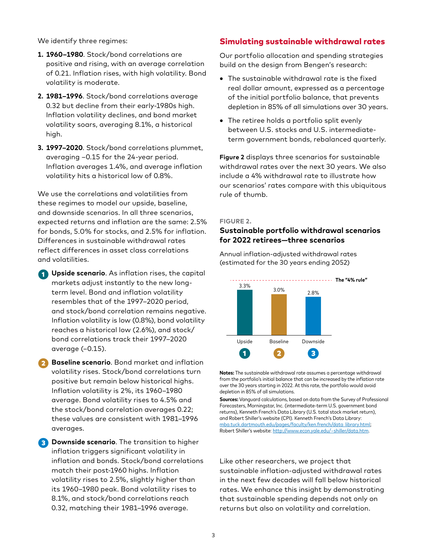We identify three regimes:

- **1. 1960–1980**. Stock/bond correlations are positive and rising, with an average correlation of 0.21. Inflation rises, with high volatility. Bond volatility is moderate.
- **2. 1981–1996**. Stock/bond correlations average 0.32 but decline from their early-1980s high. Inflation volatility declines, and bond market volatility soars, averaging 8.1%, a historical high.
- **3. 1997–2020**. Stock/bond correlations plummet, averaging –0.15 for the 24-year period. Inflation averages 1.4%, and average inflation volatility hits a historical low of 0.8%.

We use the correlations and volatilities from these regimes to model our upside, baseline, and downside scenarios. In all three scenarios, expected returns and inflation are the same: 2.5% for bonds, 5.0% for stocks, and 2.5% for inflation. Differences in sustainable withdrawal rates reflect differences in asset class correlations and volatilities.

**T** Upside scenario. As inflation rises, the capital markets adjust instantly to the new longterm level. Bond and inflation volatility resembles that of the 1997–2020 period, and stock/bond correlation remains negative. Inflation volatility is low (0.8%), bond volatility reaches a historical low (2.6%), and stock/ bond correlations track their 1997–2020 average (–0.15).

❷ **Baseline scenario**. Bond market and inflation volatility rises. Stock/bond correlations turn positive but remain below historical highs. Inflation volatility is 2%, its 1960–1980 average. Bond volatility rises to 4.5% and the stock/bond correlation averages 0.22; these values are consistent with 1981–1996 averages.

**B** Downside scenario. The transition to higher inflation triggers significant volatility in inflation and bonds. Stock/bond correlations match their post-1960 highs. Inflation volatility rises to 2.5%, slightly higher than its 1960–1980 peak. Bond volatility rises to 8.1%, and stock/bond correlations reach 0.32, matching their 1981–1996 average.

# Simulating sustainable withdrawal rates

Our portfolio allocation and spending strategies build on the design from Bengen's research:

- The sustainable withdrawal rate is the fixed real dollar amount, expressed as a percentage of the initial portfolio balance, that prevents depletion in 85% of all simulations over 30 years.
- The retiree holds a portfolio split evenly between U.S. stocks and U.S. intermediateterm government bonds, rebalanced quarterly.

**Figure 2** displays three scenarios for sustainable withdrawal rates over the next 30 years. We also include a 4% withdrawal rate to illustrate how our scenarios' rates compare with this ubiquitous rule of thumb.

#### **FIGURE 2.**

## **Sustainable portfolio withdrawal scenarios for 2022 retirees—three scenarios**

Annual inflation-adjusted withdrawal rates (estimated for the 30 years ending 2052)



**Notes:** The sustainable withdrawal rate assumes a percentage withdrawal from the portfolio's initial balance that can be increased by the inflation rate over the 30 years starting in 2022. At this rate, the portfolio would avoid depletion in 85% of all simulations.

**Sources:** Vanguard calculations, based on data from the Survey of Professional Forecasters, Morningstar, Inc. (intermediate-term U.S. government bond returns), Kenneth French's Data Library (U.S. total stock market return), and Robert Shiller's website (CPI). Kenneth French's Data Library: [mba.tuck.dartmouth.edu/pages/faculty/ken.french/data\\_library.html](http://mba.tuck.dartmouth.edu/pages/faculty/ken.french/data_library.html); Robert Shiller's website: [http://www.econ.yale.edu/~shiller/data.htm.](http://www.econ.yale.edu/~shiller/data.htm)

Like other researchers, we project that sustainable inflation-adjusted withdrawal rates in the next few decades will fall below historical rates. We enhance this insight by demonstrating that sustainable spending depends not only on returns but also on volatility and correlation.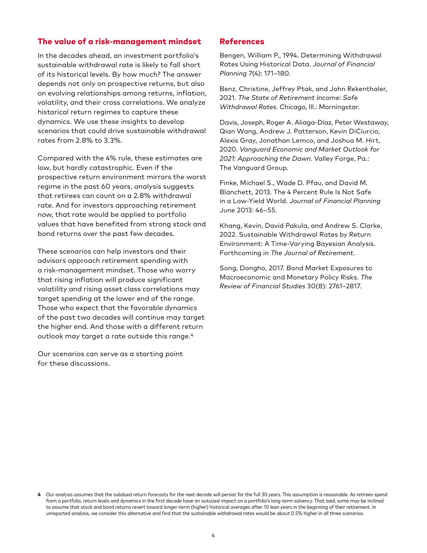# The value of a risk-management mindset

In the decades ahead, an investment portfolio's sustainable withdrawal rate is likely to fall short of its historical levels. By how much? The answer depends not only on prospective returns, but also on evolving relationships among returns, inflation, volatility, and their cross correlations. We analyze historical return regimes to capture these dynamics. We use these insights to develop scenarios that could drive sustainable withdrawal rates from 2.8% to 3.3%.

Compared with the 4% rule, these estimates are low, but hardly catastrophic. Even if the prospective return environment mirrors the worst regime in the past 60 years, analysis suggests that retirees can count on a 2.8% withdrawal rate. And for investors approaching retirement now, that rate would be applied to portfolio values that have benefited from strong stock and bond returns over the past few decades.

These scenarios can help investors and their advisors approach retirement spending with a risk-management mindset. Those who worry that rising inflation will produce significant volatility and rising asset class correlations may target spending at the lower end of the range. Those who expect that the favorable dynamics of the past two decades will continue may target the higher end. And those with a different return outlook may target a rate outside this range.4

Our scenarios can serve as a starting point for these discussions.

### References

Bengen, William P., 1994. Determining Withdrawal Rates Using Historical Data. *Journal of Financial Planning* 7(4): 171–180.

Benz, Christine, Jeffrey Ptak, and John Rekenthaler, 2021. *The State of Retirement Income: Safe Withdrawal Rates*. Chicago, Ill.: Morningstar.

Davis, Joseph, Roger A. Aliaga-Díaz, Peter Westaway, Qian Wang, Andrew J. Patterson, Kevin DiCiurcio, Alexis Gray, Jonathan Lemco, and Joshua M. Hirt, 2020. *Vanguard Economic and Market Outlook for 2021: Approaching the Dawn*. Valley Forge, Pa.: The Vanguard Group.

Finke, Michael S., Wade D. Pfau, and David M. Blanchett, 2013. The 4 Percent Rule Is Not Safe in a Low-Yield World. *Journal of Financial Planning* June 2013: 46–55.

Khang, Kevin, David Pakula, and Andrew S. Clarke, 2022. Sustainable Withdrawal Rates by Return Environment: A Time-Varying Bayesian Analysis. Forthcoming in *The Journal of Retirement*.

Song, Dongho, 2017. Bond Market Exposures to Macroeconomic and Monetary Policy Risks. *The Review of Financial Studies* 30(8): 2761–2817.

**<sup>4</sup>** Our analysis assumes that the subdued return forecasts for the next decade will persist for the full 30 years. This assumption is reasonable. As retirees spend from a portfolio, return levels and dynamics in the first decade have an outsized impact on a portfolio's long-term solvency. That said, some may be inclined to assume that stock and bond returns revert toward longer-term (higher) historical averages after 10 lean years in the beginning of their retirement. In unreported analysis, we consider this alternative and find that the sustainable withdrawal rates would be about 0.5% higher in all three scenarios.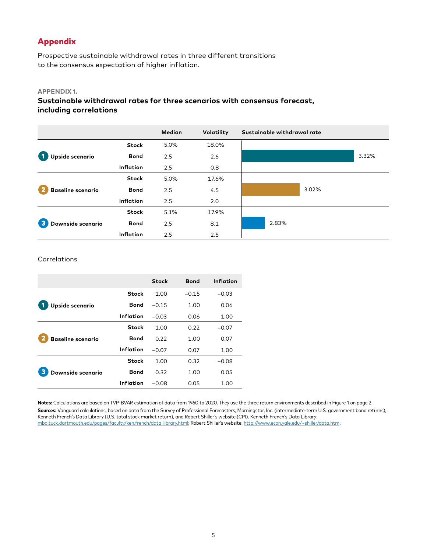# Appendix

Prospective sustainable withdrawal rates in three different transitions to the consensus expectation of higher inflation.

#### **APPENDIX 1.**

**Sustainable withdrawal rates for three scenarios with consensus forecast, including correlations** 

|                          |              | <b>Median</b> | Volatility | Sustainable withdrawal rate |       |
|--------------------------|--------------|---------------|------------|-----------------------------|-------|
|                          | <b>Stock</b> | 5.0%          | 18.0%      |                             |       |
| Upside scenario          | <b>Bond</b>  | 2.5           | 2.6        |                             | 3.32% |
|                          | Inflation    | 2.5           | 0.8        |                             |       |
|                          | <b>Stock</b> | 5.0%          | 17.6%      |                             |       |
| <b>Baseline scenario</b> | <b>Bond</b>  | 2.5           | 4.5        | 3.02%                       |       |
|                          | Inflation    | 2.5           | 2.0        |                             |       |
|                          | <b>Stock</b> | 5.1%          | 17.9%      |                             |       |
| 3<br>Downside scenario   | <b>Bond</b>  | 2.5           | 8.1        | 2.83%                       |       |
|                          | Inflation    | 2.5           | 2.5        |                             |       |

#### **Correlations**

|                          |              | <b>Stock</b> | <b>Bond</b> | Inflation |
|--------------------------|--------------|--------------|-------------|-----------|
|                          | <b>Stock</b> | 1.00         | $-0.15$     | $-0.03$   |
| Upside scenario          | <b>Bond</b>  | $-0.15$      | 1.00        | 0.06      |
|                          | Inflation    | $-0.03$      | 0.06        | 1.00      |
|                          | <b>Stock</b> | 1.00         | 0.22        | $-0.07$   |
| <b>Baseline scenario</b> | <b>Bond</b>  | 0.22         | 1.00        | 0.07      |
|                          | Inflation    | $-0.07$      | 0.07        | 1.00      |
|                          | <b>Stock</b> | 1.00         | 0.32        | $-0.08$   |
| Downside scenario        | <b>Bond</b>  | 0.32         | 1.00        | 0.05      |
|                          | Inflation    | $-0.08$      | 0.05        | 1.00      |

**Notes:** Calculations are based on TVP-BVAR estimation of data from 1960 to 2020. They use the three return environments described in Figure 1 on page 2. **Sources:** Vanguard calculations, based on data from the Survey of Professional Forecasters, Morningstar, Inc. (intermediate-term U.S. government bond returns), Kenneth French's Data Library (U.S. total stock market return), and Robert Shiller's website (CPI). Kenneth French's Data Library: [mba.tuck.dartmouth.edu/pages/faculty/ken.french/data\\_library.html](http://mba.tuck.dartmouth.edu/pages/faculty/ken.french/data_library.html); Robert Shiller's website: <http://www.econ.yale.edu/~shiller/data.htm>.